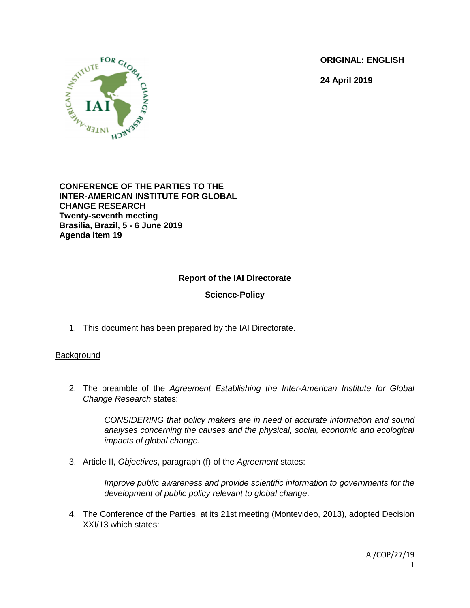**ORIGINAL: ENGLISH**

**24 April 2019**



**CONFERENCE OF THE PARTIES TO THE INTER-AMERICAN INSTITUTE FOR GLOBAL CHANGE RESEARCH Twenty-seventh meeting Brasilia, Brazil, 5 - 6 June 2019 Agenda item 19**

# **Report of the IAI Directorate**

### **Science-Policy**

1. This document has been prepared by the IAI Directorate.

### **Background**

2. The preamble of the *Agreement Establishing the Inter-American Institute for Global Change Research* states:

> *CONSIDERING that policy makers are in need of accurate information and sound analyses concerning the causes and the physical, social, economic and ecological impacts of global change.*

3. Article II, *Objectives*, paragraph (f) of the *Agreement* states:

*Improve public awareness and provide scientific information to governments for the development of public policy relevant to global change*.

4. The Conference of the Parties, at its 21st meeting (Montevideo, 2013), adopted Decision XXI/13 which states: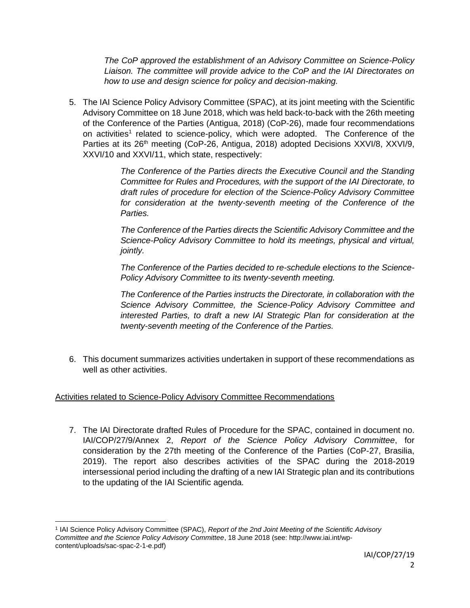*The CoP approved the establishment of an Advisory Committee on Science-Policy Liaison. The committee will provide advice to the CoP and the IAI Directorates on how to use and design science for policy and decision-making.* 

5. The IAI Science Policy Advisory Committee (SPAC), at its joint meeting with the Scientific Advisory Committee on 18 June 2018, which was held back-to-back with the 26th meeting of the Conference of the Parties (Antigua, 2018) (CoP-26), made four recommendations on activities<sup>1</sup> related to science-policy, which were adopted. The Conference of the Parties at its 26<sup>th</sup> meeting (CoP-26, Antigua, 2018) adopted Decisions XXVI/8, XXVI/9, XXVI/10 and XXVI/11, which state, respectively:

> *The Conference of the Parties directs the Executive Council and the Standing Committee for Rules and Procedures, with the support of the IAI Directorate, to draft rules of procedure for election of the Science-Policy Advisory Committee for consideration at the twenty-seventh meeting of the Conference of the Parties.*

> *The Conference of the Parties directs the Scientific Advisory Committee and the Science-Policy Advisory Committee to hold its meetings, physical and virtual, jointly.*

> *The Conference of the Parties decided to re-schedule elections to the Science-Policy Advisory Committee to its twenty-seventh meeting.*

> *The Conference of the Parties instructs the Directorate, in collaboration with the Science Advisory Committee, the Science-Policy Advisory Committee and interested Parties, to draft a new IAI Strategic Plan for consideration at the twenty-seventh meeting of the Conference of the Parties.*

6. This document summarizes activities undertaken in support of these recommendations as well as other activities.

# Activities related to Science-Policy Advisory Committee Recommendations

7. The IAI Directorate drafted Rules of Procedure for the SPAC, contained in document no. IAI/COP/27/9/Annex 2, *Report of the Science Policy Advisory Committee*, for consideration by the 27th meeting of the Conference of the Parties (CoP-27, Brasilia, 2019). The report also describes activities of the SPAC during the 2018-2019 intersessional period including the drafting of a new IAI Strategic plan and its contributions to the updating of the IAI Scientific agenda.

 $\overline{\phantom{a}}$ <sup>1</sup> IAI Science Policy Advisory Committee (SPAC), *Report of the 2nd Joint Meeting of the Scientific Advisory Committee and the Science Policy Advisory Committee*, 18 June 2018 (see: http://www.iai.int/wpcontent/uploads/sac-spac-2-1-e.pdf)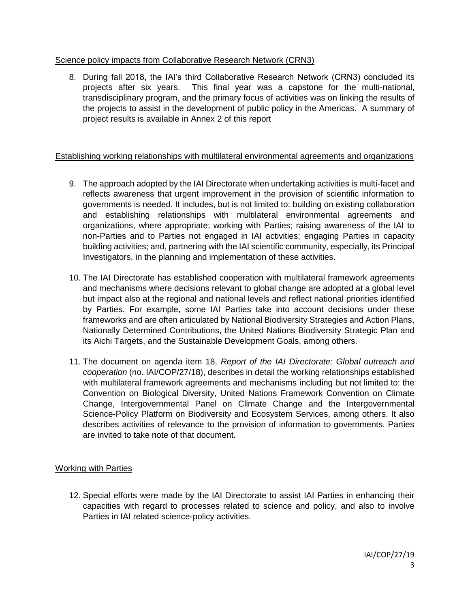### Science policy impacts from Collaborative Research Network (CRN3)

8. During fall 2018, the IAI's third Collaborative Research Network (CRN3) concluded its projects after six years. This final year was a capstone for the multi-national, transdisciplinary program, and the primary focus of activities was on linking the results of the projects to assist in the development of public policy in the Americas. A summary of project results is available in Annex 2 of this report

### Establishing working relationships with multilateral environmental agreements and organizations

- 9. The approach adopted by the IAI Directorate when undertaking activities is multi-facet and reflects awareness that urgent improvement in the provision of scientific information to governments is needed. It includes, but is not limited to: building on existing collaboration and establishing relationships with multilateral environmental agreements and organizations, where appropriate; working with Parties; raising awareness of the IAI to non-Parties and to Parties not engaged in IAI activities; engaging Parties in capacity building activities; and, partnering with the IAI scientific community, especially, its Principal Investigators, in the planning and implementation of these activities.
- 10. The IAI Directorate has established cooperation with multilateral framework agreements and mechanisms where decisions relevant to global change are adopted at a global level but impact also at the regional and national levels and reflect national priorities identified by Parties. For example, some IAI Parties take into account decisions under these frameworks and are often articulated by National Biodiversity Strategies and Action Plans, Nationally Determined Contributions, the United Nations Biodiversity Strategic Plan and its Aichi Targets, and the Sustainable Development Goals, among others.
- 11. The document on agenda item 18, *Report of the IAI Directorate: Global outreach and cooperation* (no. IAI/COP/27/18), describes in detail the working relationships established with multilateral framework agreements and mechanisms including but not limited to: the Convention on Biological Diversity, United Nations Framework Convention on Climate Change, Intergovernmental Panel on Climate Change and the Intergovernmental Science-Policy Platform on Biodiversity and Ecosystem Services, among others. It also describes activities of relevance to the provision of information to governments. Parties are invited to take note of that document.

# Working with Parties

12. Special efforts were made by the IAI Directorate to assist IAI Parties in enhancing their capacities with regard to processes related to science and policy, and also to involve Parties in IAI related science-policy activities.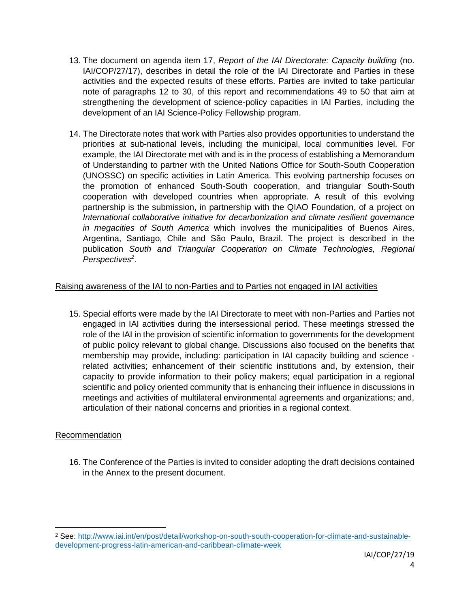- 13. The document on agenda item 17, *Report of the IAI Directorate: Capacity building* (no. IAI/COP/27/17), describes in detail the role of the IAI Directorate and Parties in these activities and the expected results of these efforts. Parties are invited to take particular note of paragraphs 12 to 30, of this report and recommendations 49 to 50 that aim at strengthening the development of science-policy capacities in IAI Parties, including the development of an IAI Science-Policy Fellowship program.
- 14. The Directorate notes that work with Parties also provides opportunities to understand the priorities at sub-national levels, including the municipal, local communities level. For example, the IAI Directorate met with and is in the process of establishing a Memorandum of Understanding to partner with the United Nations Office for South-South Cooperation (UNOSSC) on specific activities in Latin America. This evolving partnership focuses on the promotion of enhanced South-South cooperation, and triangular South-South cooperation with developed countries when appropriate. A result of this evolving partnership is the submission, in partnership with the QIAO Foundation, of a project on *International collaborative initiative for decarbonization and climate resilient governance in megacities of South America* which involves the municipalities of Buenos Aires, Argentina, Santiago, Chile and São Paulo, Brazil. The project is described in the publication *South and Triangular Cooperation on Climate Technologies, Regional Perspectives<sup>2</sup>* .

# Raising awareness of the IAI to non-Parties and to Parties not engaged in IAI activities

15. Special efforts were made by the IAI Directorate to meet with non-Parties and Parties not engaged in IAI activities during the intersessional period. These meetings stressed the role of the IAI in the provision of scientific information to governments for the development of public policy relevant to global change. Discussions also focused on the benefits that membership may provide, including: participation in IAI capacity building and science related activities; enhancement of their scientific institutions and, by extension, their capacity to provide information to their policy makers; equal participation in a regional scientific and policy oriented community that is enhancing their influence in discussions in meetings and activities of multilateral environmental agreements and organizations; and, articulation of their national concerns and priorities in a regional context.

# Recommendation

 $\overline{\phantom{a}}$ 

16. The Conference of the Parties is invited to consider adopting the draft decisions contained in the Annex to the present document.

<sup>2</sup> See: [http://www.iai.int/en/post/detail/workshop-on-south-south-cooperation-for-climate-and-sustainable](http://www.iai.int/en/post/detail/workshop-on-south-south-cooperation-for-climate-and-sustainable-development-progress-latin-american-and-caribbean-climate-week)[development-progress-latin-american-and-caribbean-climate-week](http://www.iai.int/en/post/detail/workshop-on-south-south-cooperation-for-climate-and-sustainable-development-progress-latin-american-and-caribbean-climate-week)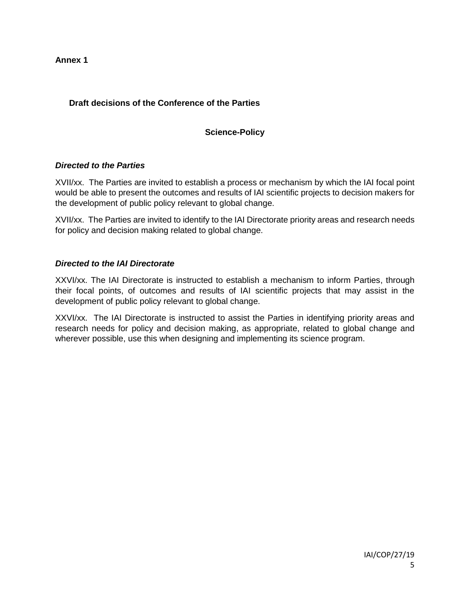**Annex 1**

# **Draft decisions of the Conference of the Parties**

# **Science-Policy**

# *Directed to the Parties*

XVII/xx. The Parties are invited to establish a process or mechanism by which the IAI focal point would be able to present the outcomes and results of IAI scientific projects to decision makers for the development of public policy relevant to global change.

XVII/xx. The Parties are invited to identify to the IAI Directorate priority areas and research needs for policy and decision making related to global change.

### *Directed to the IAI Directorate*

XXVI/xx. The IAI Directorate is instructed to establish a mechanism to inform Parties, through their focal points, of outcomes and results of IAI scientific projects that may assist in the development of public policy relevant to global change.

XXVI/xx. The IAI Directorate is instructed to assist the Parties in identifying priority areas and research needs for policy and decision making, as appropriate, related to global change and wherever possible, use this when designing and implementing its science program.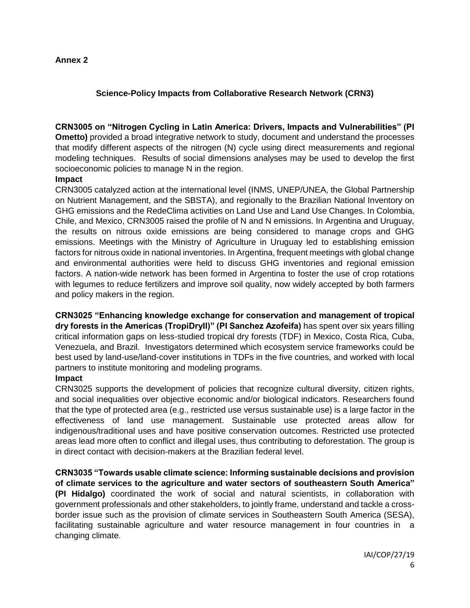### **Annex 2**

### **Science-Policy Impacts from Collaborative Research Network (CRN3)**

**CRN3005 on "Nitrogen Cycling in Latin America: Drivers, Impacts and Vulnerabilities" (PI Ometto)** provided a broad integrative network to study, document and understand the processes that modify different aspects of the nitrogen (N) cycle using direct measurements and regional modeling techniques. Results of social dimensions analyses may be used to develop the first socioeconomic policies to manage N in the region.

### **Impact**

CRN3005 catalyzed action at the international level (INMS, UNEP/UNEA, the Global Partnership on Nutrient Management, and the SBSTA), and regionally to the Brazilian National Inventory on GHG emissions and the RedeClima activities on Land Use and Land Use Changes. In Colombia, Chile, and Mexico, CRN3005 raised the profile of N and N emissions. In Argentina and Uruguay, the results on nitrous oxide emissions are being considered to manage crops and GHG emissions. Meetings with the Ministry of Agriculture in Uruguay led to establishing emission factors for nitrous oxide in national inventories. In Argentina, frequent meetings with global change and environmental authorities were held to discuss GHG inventories and regional emission factors. A nation-wide network has been formed in Argentina to foster the use of crop rotations with legumes to reduce fertilizers and improve soil quality, now widely accepted by both farmers and policy makers in the region.

**CRN3025 "Enhancing knowledge exchange for conservation and management of tropical dry forests in the Americas (TropiDryII)" (PI Sanchez Azofeifa)** has spent over six years filling critical information gaps on less-studied tropical dry forests (TDF) in Mexico, Costa Rica, Cuba, Venezuela, and Brazil. Investigators determined which ecosystem service frameworks could be best used by land-use/land-cover institutions in TDFs in the five countries, and worked with local partners to institute monitoring and modeling programs.

### **Impact**

CRN3025 supports the development of policies that recognize cultural diversity, citizen rights, and social inequalities over objective economic and/or biological indicators. Researchers found that the type of protected area (e.g., restricted use versus sustainable use) is a large factor in the effectiveness of land use management. Sustainable use protected areas allow for indigenous/traditional uses and have positive conservation outcomes. Restricted use protected areas lead more often to conflict and illegal uses, thus contributing to deforestation. The group is in direct contact with decision-makers at the Brazilian federal level.

**CRN3035 "Towards usable climate science: Informing sustainable decisions and provision of climate services to the agriculture and water sectors of southeastern South America" (PI Hidalgo)** coordinated the work of social and natural scientists, in collaboration with government professionals and other stakeholders, to jointly frame, understand and tackle a crossborder issue such as the provision of climate services in Southeastern South America (SESA), facilitating sustainable agriculture and water resource management in four countries in a changing climate.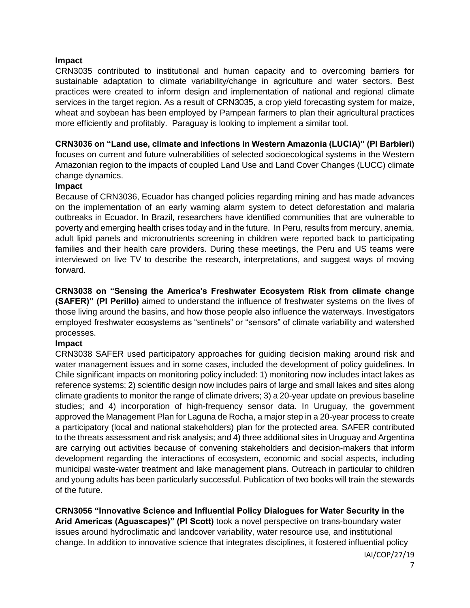#### **Impact**

CRN3035 contributed to institutional and human capacity and to overcoming barriers for sustainable adaptation to climate variability/change in agriculture and water sectors. Best practices were created to inform design and implementation of national and regional climate services in the target region. As a result of CRN3035, a crop yield forecasting system for maize, wheat and soybean has been employed by Pampean farmers to plan their agricultural practices more efficiently and profitably. Paraguay is looking to implement a similar tool.

#### **CRN3036 on "Land use, climate and infections in Western Amazonia (LUCIA)" (PI Barbieri)**

focuses on current and future vulnerabilities of selected socioecological systems in the Western Amazonian region to the impacts of coupled Land Use and Land Cover Changes (LUCC) climate change dynamics.

#### **Impact**

Because of CRN3036, Ecuador has changed policies regarding mining and has made advances on the implementation of an early warning alarm system to detect deforestation and malaria outbreaks in Ecuador. In Brazil, researchers have identified communities that are vulnerable to poverty and emerging health crises today and in the future. In Peru, results from mercury, anemia, adult lipid panels and micronutrients screening in children were reported back to participating families and their health care providers. During these meetings, the Peru and US teams were interviewed on live TV to describe the research, interpretations, and suggest ways of moving forward.

**CRN3038 on "Sensing the America's Freshwater Ecosystem Risk from climate change (SAFER)" (PI Perillo)** aimed to understand the influence of freshwater systems on the lives of those living around the basins, and how those people also influence the waterways. Investigators employed freshwater ecosystems as "sentinels" or "sensors" of climate variability and watershed processes.

### **Impact**

CRN3038 SAFER used participatory approaches for guiding decision making around risk and water management issues and in some cases, included the development of policy guidelines. In Chile significant impacts on monitoring policy included: 1) monitoring now includes intact lakes as reference systems; 2) scientific design now includes pairs of large and small lakes and sites along climate gradients to monitor the range of climate drivers; 3) a 20-year update on previous baseline studies; and 4) incorporation of high-frequency sensor data. In Uruguay, the government approved the Management Plan for Laguna de Rocha, a major step in a 20-year process to create a participatory (local and national stakeholders) plan for the protected area. SAFER contributed to the threats assessment and risk analysis; and 4) three additional sites in Uruguay and Argentina are carrying out activities because of convening stakeholders and decision-makers that inform development regarding the interactions of ecosystem, economic and social aspects, including municipal waste-water treatment and lake management plans. Outreach in particular to children and young adults has been particularly successful. Publication of two books will train the stewards of the future.

**CRN3056 "Innovative Science and Influential Policy Dialogues for Water Security in the Arid Americas (Aguascapes)" (PI Scott)** took a novel perspective on trans-boundary water issues around hydroclimatic and landcover variability, water resource use, and institutional change. In addition to innovative science that integrates disciplines, it fostered influential policy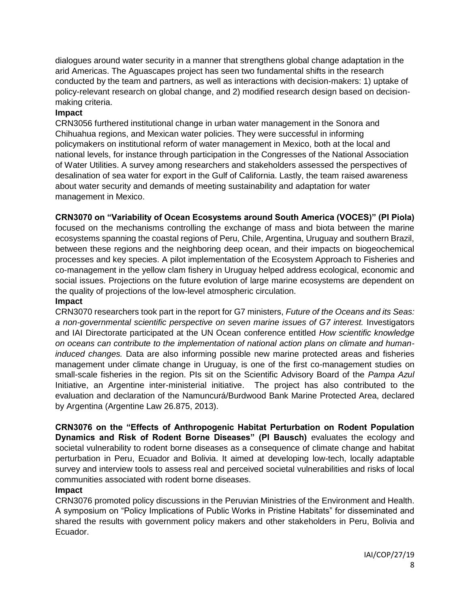dialogues around water security in a manner that strengthens global change adaptation in the arid Americas. The Aguascapes project has seen two fundamental shifts in the research conducted by the team and partners, as well as interactions with decision-makers: 1) uptake of policy-relevant research on global change, and 2) modified research design based on decisionmaking criteria.

### **Impact**

CRN3056 furthered institutional change in urban water management in the Sonora and Chihuahua regions, and Mexican water policies. They were successful in informing policymakers on institutional reform of water management in Mexico, both at the local and national levels, for instance through participation in the Congresses of the National Association of Water Utilities. A survey among researchers and stakeholders assessed the perspectives of desalination of sea water for export in the Gulf of California. Lastly, the team raised awareness about water security and demands of meeting sustainability and adaptation for water management in Mexico.

**CRN3070 on "Variability of Ocean Ecosystems around South America (VOCES)" (PI Piola)**  focused on the mechanisms controlling the exchange of mass and biota between the marine ecosystems spanning the coastal regions of Peru, Chile, Argentina, Uruguay and southern Brazil, between these regions and the neighboring deep ocean, and their impacts on biogeochemical processes and key species. A pilot implementation of the Ecosystem Approach to Fisheries and co-management in the yellow clam fishery in Uruguay helped address ecological, economic and social issues. Projections on the future evolution of large marine ecosystems are dependent on the quality of projections of the low-level atmospheric circulation.

### **Impact**

CRN3070 researchers took part in the report for G7 ministers, *Future of the Oceans and its Seas: a non-governmental scientific perspective on seven marine issues of G7 interest.* Investigators and IAI Directorate participated at the UN Ocean conference entitled *How scientific knowledge on oceans can contribute to the implementation of national action plans on climate and humaninduced changes.* Data are also informing possible new marine protected areas and fisheries management under climate change in Uruguay, is one of the first co-management studies on small-scale fisheries in the region. PIs sit on the Scientific Advisory Board of the *Pampa Azul* Initiative, an Argentine inter-ministerial initiative. The project has also contributed to the evaluation and declaration of the Namuncurá/Burdwood Bank Marine Protected Area, declared by Argentina (Argentine Law 26.875, 2013).

**CRN3076 on the "Effects of Anthropogenic Habitat Perturbation on Rodent Population Dynamics and Risk of Rodent Borne Diseases" (PI Bausch)** evaluates the ecology and societal vulnerability to rodent borne diseases as a consequence of climate change and habitat perturbation in Peru, Ecuador and Bolivia. It aimed at developing low-tech, locally adaptable survey and interview tools to assess real and perceived societal vulnerabilities and risks of local communities associated with rodent borne diseases.

# **Impact**

CRN3076 promoted policy discussions in the Peruvian Ministries of the Environment and Health. A symposium on "Policy Implications of Public Works in Pristine Habitats" for disseminated and shared the results with government policy makers and other stakeholders in Peru, Bolivia and Ecuador.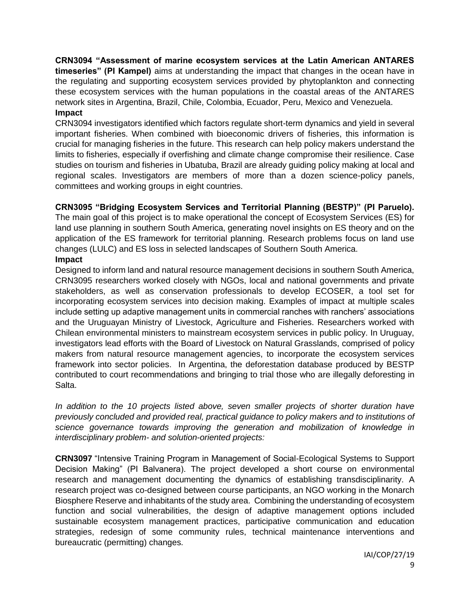**CRN3094 "Assessment of marine ecosystem services at the Latin American ANTARES timeseries" (PI Kampel)** aims at understanding the impact that changes in the ocean have in the regulating and supporting ecosystem services provided by phytoplankton and connecting these ecosystem services with the human populations in the coastal areas of the ANTARES network sites in Argentina, Brazil, Chile, Colombia, Ecuador, Peru, Mexico and Venezuela. **Impact**

CRN3094 investigators identified which factors regulate short-term dynamics and yield in several important fisheries. When combined with bioeconomic drivers of fisheries, this information is crucial for managing fisheries in the future. This research can help policy makers understand the limits to fisheries, especially if overfishing and climate change compromise their resilience. Case studies on tourism and fisheries in Ubatuba, Brazil are already guiding policy making at local and regional scales. Investigators are members of more than a dozen science-policy panels, committees and working groups in eight countries.

# **CRN3095 "Bridging Ecosystem Services and Territorial Planning (BESTP)" (PI Paruelo).**

The main goal of this project is to make operational the concept of Ecosystem Services (ES) for land use planning in southern South America, generating novel insights on ES theory and on the application of the ES framework for territorial planning. Research problems focus on land use changes (LULC) and ES loss in selected landscapes of Southern South America.

### **Impact**

Designed to inform land and natural resource management decisions in southern South America, CRN3095 researchers worked closely with NGOs, local and national governments and private stakeholders, as well as conservation professionals to develop ECOSER, a tool set for incorporating ecosystem services into decision making. Examples of impact at multiple scales include setting up adaptive management units in commercial ranches with ranchers' associations and the Uruguayan Ministry of Livestock, Agriculture and Fisheries. Researchers worked with Chilean environmental ministers to mainstream ecosystem services in public policy. In Uruguay, investigators lead efforts with the Board of Livestock on Natural Grasslands, comprised of policy makers from natural resource management agencies, to incorporate the ecosystem services framework into sector policies. In Argentina, the deforestation database produced by BESTP contributed to court recommendations and bringing to trial those who are illegally deforesting in Salta.

*In addition to the 10 projects listed above, seven smaller projects of shorter duration have previously concluded and provided real, practical guidance to policy makers and to institutions of science governance towards improving the generation and mobilization of knowledge in interdisciplinary problem- and solution-oriented projects:*

**CRN3097** "Intensive Training Program in Management of Social-Ecological Systems to Support Decision Making" (PI Balvanera). The project developed a short course on environmental research and management documenting the dynamics of establishing transdisciplinarity. A research project was co-designed between course participants, an NGO working in the Monarch Biosphere Reserve and inhabitants of the study area. Combining the understanding of ecosystem function and social vulnerabilities, the design of adaptive management options included sustainable ecosystem management practices, participative communication and education strategies, redesign of some community rules, technical maintenance interventions and bureaucratic (permitting) changes.